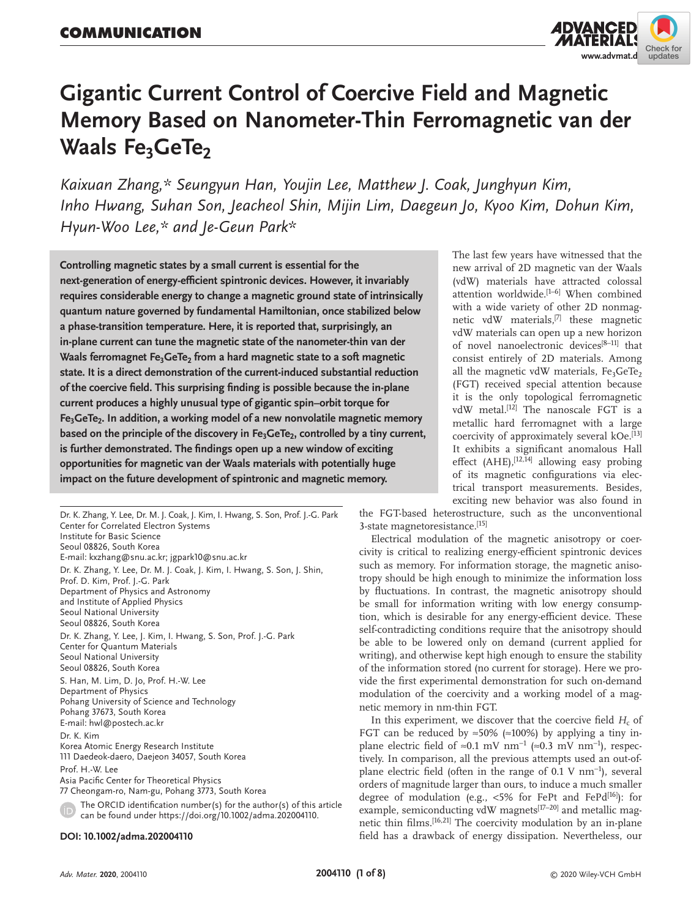

# **Gigantic Current Control of Coercive Field and Magnetic Memory Based on Nanometer-Thin Ferromagnetic van der Waals Fe<sub>3</sub>GeTe<sub>2</sub>**

*Kaixuan Zhang,\* Seungyun Han, Youjin Lee, Matthew J. Coak, Junghyun Kim, Inho Hwang, Suhan Son, Jeacheol Shin, Mijin Lim, Daegeun Jo, Kyoo Kim, Dohun Kim, Hyun-Woo Lee,\* and Je-Geun Park\**

**Controlling magnetic states by a small current is essential for the next-generation of energy-efficient spintronic devices. However, it invariably requires considerable energy to change a magnetic ground state of intrinsically quantum nature governed by fundamental Hamiltonian, once stabilized below a phase-transition temperature. Here, it is reported that, surprisingly, an in-plane current can tune the magnetic state of the nanometer-thin van der**  Waals ferromagnet Fe<sub>3</sub>GeTe<sub>2</sub> from a hard magnetic state to a soft magnetic **state. It is a direct demonstration of the current-induced substantial reduction of the coercive field. This surprising finding is possible because the in-plane current produces a highly unusual type of gigantic spin–orbit torque for**  Fe<sub>3</sub>GeTe<sub>2</sub>. In addition, a working model of a new nonvolatile magnetic memory based on the principle of the discovery in Fe<sub>3</sub>GeTe<sub>2</sub>, controlled by a tiny current, **is further demonstrated. The findings open up a new window of exciting opportunities for magnetic van der Waals materials with potentially huge impact on the future development of spintronic and magnetic memory.**

Dr. K. Zhang, Y. Lee, Dr. M. J. Coak, J. Kim, I. Hwang, S. Son, Prof. J.-G. Park Center for Correlated Electron Systems Institute for Basic Science Seoul 08826, South Korea E-mail: kxzhang@snu.ac.kr; jgpark10@snu.ac.kr Dr. K. Zhang, Y. Lee, Dr. M. J. Coak, J. Kim, I. Hwang, S. Son, J. Shin, Prof. D. Kim, Prof. J.-G. Park Department of Physics and Astronomy and Institute of Applied Physics Seoul National University Seoul 08826, South Korea Dr. K. Zhang, Y. Lee, J. Kim, I. Hwang, S. Son, Prof. J.-G. Park Center for Quantum Materials Seoul National University Seoul 08826, South Korea S. Han, M. Lim, D. Jo, Prof. H.-W. Lee Department of Physics Pohang University of Science and Technology Pohang 37673, South Korea E-mail: hwl@postech.ac.kr Dr. K. Kim Korea Atomic Energy Research Institute 111 Daedeok-daero, Daejeon 34057, South Korea Prof. H.-W. Lee Asia Pacific Center for Theoretical Physics 77 Cheongam-ro, Nam-gu, Pohang 3773, South Korea The ORCID identification number(s) for the author(s) of this article can be found under https://doi.org/10.1002/adma.202004110.

#### **DOI: 10.1002/adma.202004110**

The last few years have witnessed that the new arrival of 2D magnetic van der Waals (vdW) materials have attracted colossal attention worldwide.[1–6] When combined with a wide variety of other 2D nonmagnetic vdW materials,[7] these magnetic vdW materials can open up a new horizon of novel nanoelectronic devices<sup>[8-11]</sup> that consist entirely of 2D materials. Among all the magnetic vdW materials,  $Fe<sub>3</sub>GeTe<sub>2</sub>$ (FGT) received special attention because it is the only topological ferromagnetic vdW metal.<sup>[12]</sup> The nanoscale FGT is a metallic hard ferromagnet with a large coercivity of approximately several kOe.<sup>[13]</sup> It exhibits a significant anomalous Hall effect (AHE),  $[12, 14]$  allowing easy probing of its magnetic configurations via electrical transport measurements. Besides, exciting new behavior was also found in

the FGT-based heterostructure, such as the unconventional 3-state magnetoresistance.[15]

Electrical modulation of the magnetic anisotropy or coercivity is critical to realizing energy-efficient spintronic devices such as memory. For information storage, the magnetic anisotropy should be high enough to minimize the information loss by fluctuations. In contrast, the magnetic anisotropy should be small for information writing with low energy consumption, which is desirable for any energy-efficient device. These self-contradicting conditions require that the anisotropy should be able to be lowered only on demand (current applied for writing), and otherwise kept high enough to ensure the stability of the information stored (no current for storage). Here we provide the first experimental demonstration for such on-demand modulation of the coercivity and a working model of a magnetic memory in nm-thin FGT.

In this experiment, we discover that the coercive field  $H_c$  of FGT can be reduced by  $\approx 50\%$  ( $\approx 100\%$ ) by applying a tiny inplane electric field of ≈0.1 mV nm<sup>-1</sup> (≈0.3 mV nm<sup>-1</sup>), respectively. In comparison, all the previous attempts used an out-ofplane electric field (often in the range of 0.1 V nm<sup>-1</sup>), several orders of magnitude larger than ours, to induce a much smaller degree of modulation (e.g.,  $<$  5% for FePt and FePd<sup>[16]</sup>): for example, semiconducting vdW magnets<sup>[17-20]</sup> and metallic magnetic thin films.<sup>[16,21]</sup> The coercivity modulation by an in-plane field has a drawback of energy dissipation. Nevertheless, our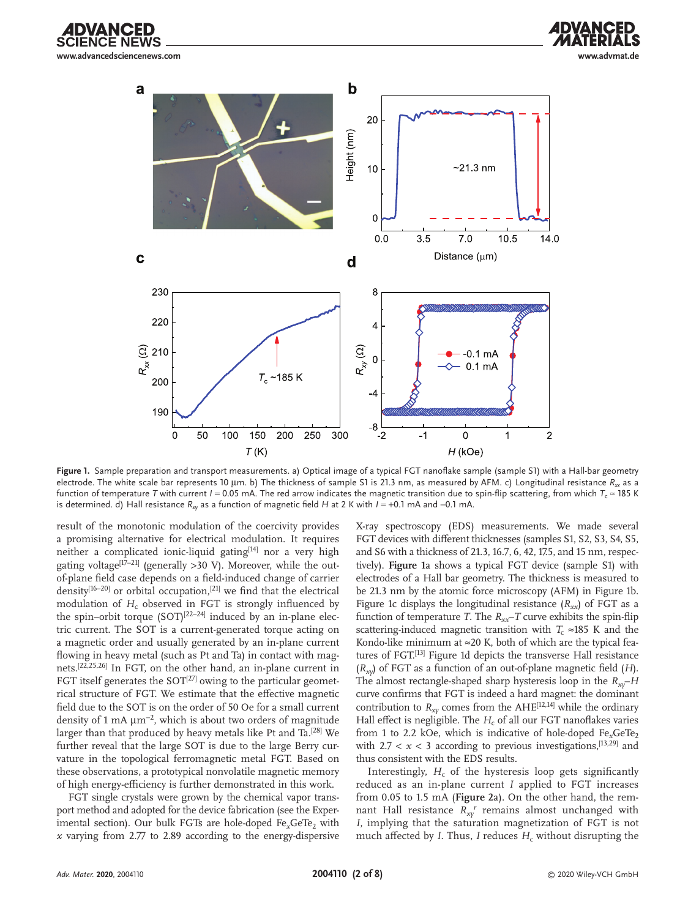**www.advancedsciencenews.com www.advmat.de**





**Figure 1.** Sample preparation and transport measurements. a) Optical image of a typical FGT nanoflake sample (sample S1) with a Hall-bar geometry electrode. The white scale bar represents 10 μm. b) The thickness of sample S1 is 21.3 nm, as measured by AFM. c) Longitudinal resistance R<sub>xx</sub> as a function of temperature *T* with current *I* = 0.05 mA. The red arrow indicates the magnetic transition due to spin-flip scattering, from which  $T_c \approx 185$  K is determined. d) Hall resistance *Rxy* as a function of magnetic field *H* at 2 K with *I* = +0.1 mA and −0.1 mA.

result of the monotonic modulation of the coercivity provides a promising alternative for electrical modulation. It requires neither a complicated ionic-liquid gating<sup>[14]</sup> nor a very high gating voltage<sup>[17–21]</sup> (generally >30 V). Moreover, while the outof-plane field case depends on a field-induced change of carrier density<sup>[16-20]</sup> or orbital occupation,<sup>[21]</sup> we find that the electrical modulation of  $H_c$  observed in FGT is strongly influenced by the spin–orbit torque  $(SOT)^{[22-24]}$  induced by an in-plane electric current. The SOT is a current-generated torque acting on a magnetic order and usually generated by an in-plane current flowing in heavy metal (such as Pt and Ta) in contact with magnets.[22,25,26] In FGT, on the other hand, an in-plane current in FGT itself generates the  $SOT^{[27]}$  owing to the particular geometrical structure of FGT. We estimate that the effective magnetic field due to the SOT is on the order of 50 Oe for a small current density of 1 mA  $\mu$ m<sup>-2</sup>, which is about two orders of magnitude larger than that produced by heavy metals like Pt and Ta.<sup>[28]</sup> We further reveal that the large SOT is due to the large Berry curvature in the topological ferromagnetic metal FGT. Based on these observations, a prototypical nonvolatile magnetic memory of high energy-efficiency is further demonstrated in this work.

FGT single crystals were grown by the chemical vapor transport method and adopted for the device fabrication (see the Experimental section). Our bulk FGTs are hole-doped Fe<sub>x</sub>GeTe<sub>2</sub> with *x* varying from 2.77 to 2.89 according to the energy-dispersive X-ray spectroscopy (EDS) measurements. We made several FGT devices with different thicknesses (samples S1, S2, S3, S4, S5, and S6 with a thickness of 21.3, 16.7, 6, 42, 17.5, and 15 nm, respectively). **Figure 1**a shows a typical FGT device (sample S1) with electrodes of a Hall bar geometry. The thickness is measured to be 21.3 nm by the atomic force microscopy (AFM) in Figure 1b. Figure 1c displays the longitudinal resistance  $(R_{xx})$  of FGT as a function of temperature *T*. The  $R_{xx}$ –*T* curve exhibits the spin-flip scattering-induced magnetic transition with  $T_c \approx 185$  K and the Kondo-like minimum at  $\approx$ 20 K, both of which are the typical features of FGT.<sup>[13]</sup> Figure 1d depicts the transverse Hall resistance (*Rxy*) of FGT as a function of an out-of-plane magnetic field (*H*). The almost rectangle-shaped sharp hysteresis loop in the  $R_{xv}$ –*H* curve confirms that FGT is indeed a hard magnet: the dominant contribution to  $R_{xy}$  comes from the AHE<sup>[12,14]</sup> while the ordinary Hall effect is negligible. The  $H_c$  of all our FGT nanoflakes varies from 1 to 2.2 kOe, which is indicative of hole-doped Fe<sub>x</sub>GeTe<sub>2</sub> with  $2.7 < x < 3$  according to previous investigations,  $[13, 29]$  and thus consistent with the EDS results.

Interestingly,  $H_c$  of the hysteresis loop gets significantly reduced as an in-plane current *I* applied to FGT increases from 0.05 to 1.5 mA (**Figure 2**a). On the other hand, the remnant Hall resistance  $R_{xy}^r$  remains almost unchanged with *I*, implying that the saturation magnetization of FGT is not much affected by  $I$ . Thus,  $I$  reduces  $H_c$  without disrupting the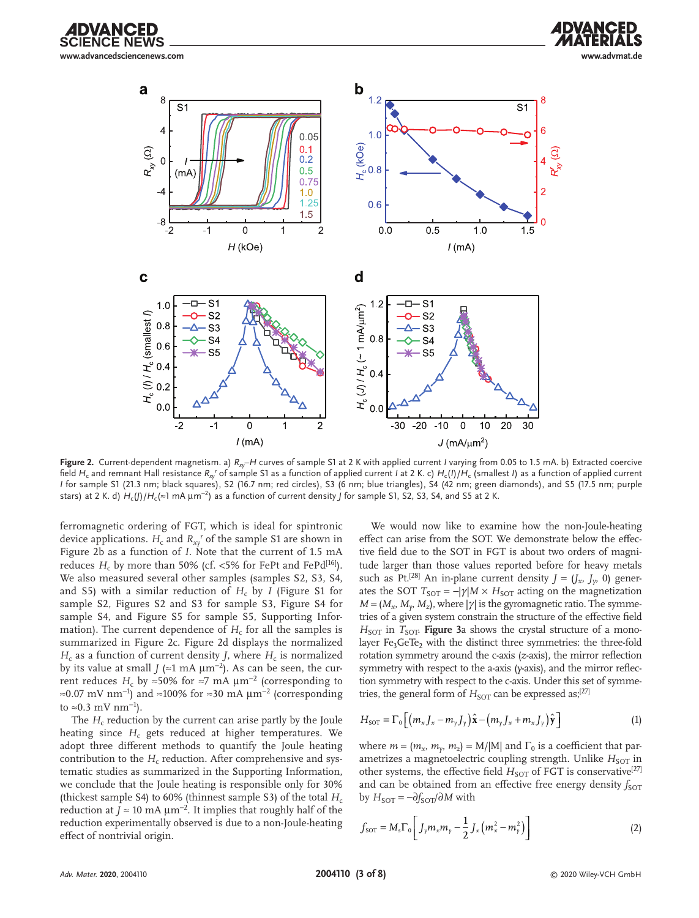





**Figure 2.** Current-dependent magnetism. a) *Rxy*–*H* curves of sample S1 at 2 K with applied current *I* varying from 0.05 to 1.5 mA. b) Extracted coercive field  $H_{\rm c}$  and remnant Hall resistance  $R_{\rm xy}$ <sup>r</sup> of sample S1 as a function of applied current *I* at 2 K. c)  $H_{\rm c}(I)/H_{\rm c}$  (smallest *I*) as a function of applied current *I* for sample S1 (21.3 nm; black squares), S2 (16.7 nm; red circles), S3 (6 nm; blue triangles), S4 (42 nm; green diamonds), and S5 (17.5 nm; purple stars) at 2 K. d) *H*c(*J*)/*H*c(≈1 mA µm<sup>−</sup>2) as a function of current density *J* for sample S1, S2, S3, S4, and S5 at 2 K.

ferromagnetic ordering of FGT, which is ideal for spintronic device applications.  $H_c$  and  $R_{xy}^r$  of the sample S1 are shown in Figure 2b as a function of *I*. Note that the current of 1.5 mA reduces  $H_c$  by more than 50% (cf. <5% for FePt and FePd<sup>[16]</sup>). We also measured several other samples (samples S2, S3, S4, and S5) with a similar reduction of  $H_c$  by *I* (Figure S1 for sample S2, Figures S2 and S3 for sample S3, Figure S4 for sample S4, and Figure S5 for sample S5, Supporting Information). The current dependence of  $H_c$  for all the samples is summarized in Figure 2c. Figure 2d displays the normalized  $H_c$  as a function of current density *J*, where  $H_c$  is normalized by its value at small *J* (≈1 mA µm<sup>−</sup>2). As can be seen, the current reduces *H<sub>c</sub>* by ≈50% for ≈7 mA  $\mu$ m<sup>-2</sup> (corresponding to ≈0.07 mV nm<sup>-1</sup>) and ≈100% for ≈30 mA  $\mu$ m<sup>-2</sup> (corresponding to ≈0.3 mV nm−<sup>1</sup> ).

The  $H_c$  reduction by the current can arise partly by the Joule heating since  $H_c$  gets reduced at higher temperatures. We adopt three different methods to quantify the Joule heating contribution to the  $H_c$  reduction. After comprehensive and systematic studies as summarized in the Supporting Information, we conclude that the Joule heating is responsible only for 30% (thickest sample S4) to 60% (thinnest sample S3) of the total  $H_c$ reduction at  $J \approx 10 \text{ mA }\mu\text{m}^{-2}$ . It implies that roughly half of the reduction experimentally observed is due to a non-Joule-heating effect of nontrivial origin.

We would now like to examine how the non-Joule-heating effect can arise from the SOT. We demonstrate below the effective field due to the SOT in FGT is about two orders of magnitude larger than those values reported before for heavy metals such as Pt.<sup>[28]</sup> An in-plane current density  $J = (J_x, J_y, 0)$  generates the SOT  $T_{\text{SOT}} = -|\gamma| M \times H_{\text{SOT}}$  acting on the magnetization  $M = (M_x, M_y, M_z)$ , where | $\gamma$ | is the gyromagnetic ratio. The symmetries of a given system constrain the structure of the effective field  $H_{\text{SOT}}$  in  $T_{\text{SOT}}$ . **Figure** 3a shows the crystal structure of a monolayer Fe<sub>3</sub>GeTe<sub>2</sub> with the distinct three symmetries: the three-fold rotation symmetry around the c-axis (*z*-axis), the mirror reflection symmetry with respect to the a-axis (*y*-axis), and the mirror reflection symmetry with respect to the c-axis. Under this set of symmetries, the general form of *H*<sub>SOT</sub> can be expressed as;<sup>[27]</sup>

$$
H_{\text{SOT}} = \Gamma_0 \left[ \left( m_x J_x - m_y J_y \right) \hat{\mathbf{x}} - \left( m_y J_x + m_x J_y \right) \hat{\mathbf{y}} \right]
$$
(1)

where  $m = (m_x, m_y, m_z) = M/|M|$  and  $\Gamma_0$  is a coefficient that parametrizes a magnetoelectric coupling strength. Unlike  $H_{\text{SOT}}$  in other systems, the effective field *H*<sub>SOT</sub> of FGT is conservative<sup>[27]</sup> and can be obtained from an effective free energy density *f*<sub>SOT</sub>  $b$ y *H*<sub>SOT</sub> = −∂*f*<sub>SOT</sub>/∂*M* with

$$
f_{\text{SOT}} = M_{\text{s}} \Gamma_0 \left[ J_{\gamma} m_x m_{\gamma} - \frac{1}{2} J_x \left( m_x^2 - m_{\gamma}^2 \right) \right]
$$
 (2)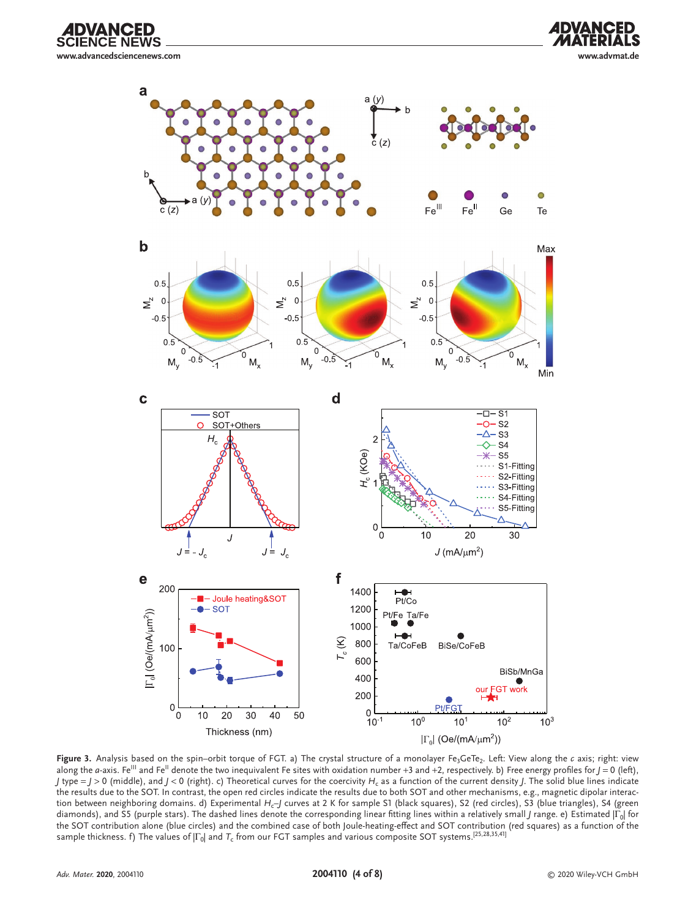E NEWS **www.advancedsciencenews.com www.advmat.de**

**DVANCED** 

ς





Figure 3. Analysis based on the spin–orbit torque of FGT. a) The crystal structure of a monolayer Fe<sub>3</sub>GeTe<sub>2</sub>. Left: View along the *c* axis; right: view along the *a*-axis. Fe<sup>III</sup> and Fe<sup>II</sup> denote the two inequivalent Fe sites with oxidation number +3 and +2, respectively. b) Free energy profiles for  $J = 0$  (left), *J* type =  $J > 0$  (middle), and  $J < 0$  (right). c) Theoretical curves for the coercivity *H<sub>c</sub>* as a function of the current density *J*. The solid blue lines indicate the results due to the SOT. In contrast, the open red circles indicate the results due to both SOT and other mechanisms, e.g., magnetic dipolar interaction between neighboring domains. d) Experimental *H<sub>c</sub>*-J curves at 2 K for sample S1 (black squares), S2 (red circles), S3 (blue triangles), S4 (green diamonds), and S5 (purple stars). The dashed lines denote the corresponding linear fitting lines within a relatively small *J* range. e) Estimated |Γ<sub>0</sub>| for the SOT contribution alone (blue circles) and the combined case of both Joule-heating-effect and SOT contribution (red squares) as a function of the sample thickness. f) The values of |Γ<sub>0</sub>| and *T<sub>c</sub>* from our FGT samples and various composite SOT systems.<sup>[25,28,35,41]</sup>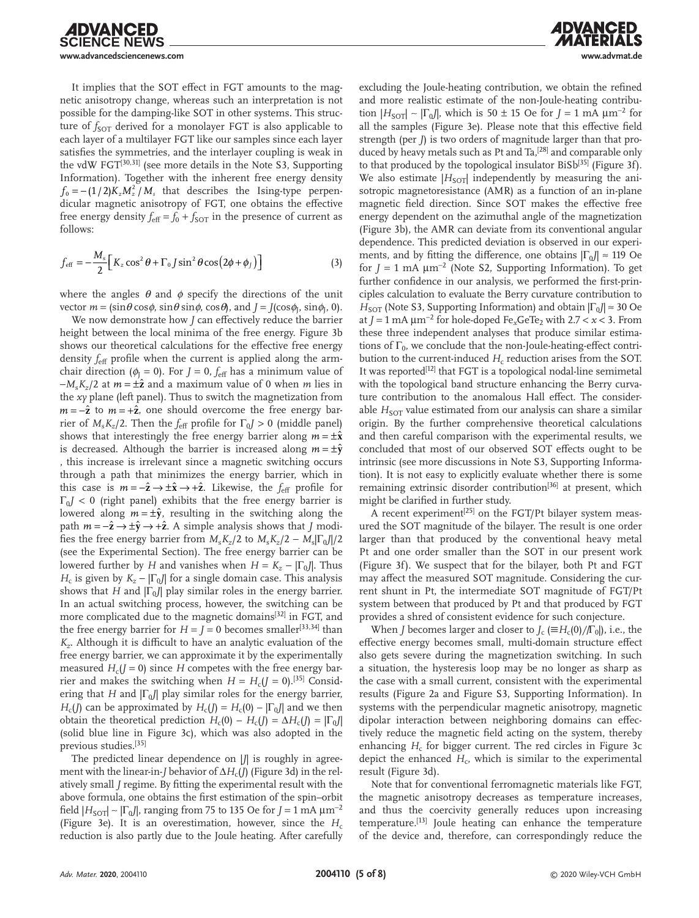**IDVANCED INCE NEWS www.advancedsciencenews.com www.advmat.de**

It implies that the SOT effect in FGT amounts to the magnetic anisotropy change, whereas such an interpretation is not possible for the damping-like SOT in other systems. This structure of *f<sub>SOT</sub>* derived for a monolayer FGT is also applicable to each layer of a multilayer FGT like our samples since each layer satisfies the symmetries, and the interlayer coupling is weak in the vdW FGT<sup>[30,31]</sup> (see more details in the Note S3, Supporting Information). Together with the inherent free energy density  $f_0 = -(1/2) K_z M_z^2 / M_s$  that describes the Ising-type perpendicular magnetic anisotropy of FGT, one obtains the effective free energy density  $f_{\text{eff}} = f_0 + f_{\text{SOT}}$  in the presence of current as follows:

$$
f_{\text{eff}} = -\frac{M_s}{2} \Big[ K_z \cos^2 \theta + \Gamma_0 J \sin^2 \theta \cos \left( 2\phi + \phi_j \right) \Big] \tag{3}
$$

where the angles  $\theta$  and  $\phi$  specify the directions of the unit vector  $m = (\sin \theta \cos \phi, \sin \theta \sin \phi, \cos \theta)$ , and  $J = J(\cos \phi_1, \sin \phi_1, 0)$ .

We now demonstrate how *J* can effectively reduce the barrier height between the local minima of the free energy. Figure 3b shows our theoretical calculations for the effective free energy density  $f_{\text{eff}}$  profile when the current is applied along the armchair direction ( $\phi_I = 0$ ). For  $J = 0$ ,  $f_{\text{eff}}$  has a minimum value of −*M*s*Kz*/2 at *m* = ±**z** and a maximum value of 0 when *m* lies in the *xy* plane (left panel). Thus to switch the magnetization from  $m = -\hat{z}$  to  $m = +\hat{z}$ , one should overcome the free energy barrier of  $M_sK_z/2$ . Then the *f*<sub>eff</sub> profile for  $\Gamma_0J > 0$  (middle panel) shows that interestingly the free energy barrier along  $m = \pm \hat{x}$ is decreased. Although the barrier is increased along  $m = \pm \hat{y}$ , this increase is irrelevant since a magnetic switching occurs through a path that minimizes the energy barrier, which in this case is  $m = -\hat{\mathbf{z}} \to \pm \hat{\mathbf{x}} \to +\hat{\mathbf{z}}$ . Likewise, the  $f_{\text{eff}}$  profile for  $\Gamma_0$ *J* < 0 (right panel) exhibits that the free energy barrier is lowered along  $m = \pm \hat{y}$ , resulting in the switching along the path  $m = -\hat{\mathbf{z}} \rightarrow \pm \hat{\mathbf{y}} \rightarrow +\hat{\mathbf{z}}$ . A simple analysis shows that *J* modifies the free energy barrier from  $M_s K_z/2$  to  $M_s K_z/2 - M_s |\Gamma_0|/2$ (see the Experimental Section). The free energy barrier can be lowered further by *H* and vanishes when  $H = K_z - |\Gamma_0|$ . Thus *H<sub>c</sub>* is given by  $K_z - |\Gamma_0|$  for a single domain case. This analysis shows that *H* and  $|\Gamma_0|$  play similar roles in the energy barrier. In an actual switching process, however, the switching can be more complicated due to the magnetic domains<sup>[32]</sup> in FGT, and the free energy barrier for  $H = J = 0$  becomes smaller<sup>[33,34]</sup> than *Kz*. Although it is difficult to have an analytic evaluation of the free energy barrier, we can approximate it by the experimentally measured  $H_c$ ( $J = 0$ ) since *H* competes with the free energy barrier and makes the switching when  $H = H_c (J = 0)$ .<sup>[35]</sup> Considering that *H* and  $|\Gamma_0|$  play similar roles for the energy barrier, *H<sub>c</sub>*(*J*) can be approximated by  $H_c(J) = H_c(0) - |\Gamma_0 J|$  and we then obtain the theoretical prediction  $H_c(0) - H_c(J) = \Delta H_c(J) = |\Gamma_0|$ (solid blue line in Figure 3c), which was also adopted in the previous studies.[35]

The predicted linear dependence on  $|J|$  is roughly in agreement with the linear-in-*J* behavior of  $\Delta H_c$ (*J*) (Figure 3d) in the relatively small *J* regime. By fitting the experimental result with the above formula, one obtains the first estimation of the spin–orbit field  $|H_{\text{SOT}}| \sim |\Gamma_0|$ , ranging from 75 to 135 Oe for *J* = 1 mA  $\mu$ m<sup>-2</sup> (Figure 3e). It is an overestimation, however, since the *H*<sup>c</sup> reduction is also partly due to the Joule heating. After carefully excluding the Joule-heating contribution, we obtain the refined and more realistic estimate of the non-Joule-heating contribution  $|H_{\text{SOT}}| \sim |\Gamma_0|$ , which is 50 ± 15 Oe for *J* = 1 mA  $\mu$ m<sup>-2</sup> for all the samples (Figure 3e). Please note that this effective field strength (per *J*) is two orders of magnitude larger than that produced by heavy metals such as Pt and Ta,<sup>[28]</sup> and comparable only to that produced by the topological insulator  $BiSb^{[35]}$  (Figure 3f). We also estimate  $|H_{\text{SOT}}|$  independently by measuring the anisotropic magnetoresistance (AMR) as a function of an in-plane magnetic field direction. Since SOT makes the effective free energy dependent on the azimuthal angle of the magnetization (Figure 3b), the AMR can deviate from its conventional angular dependence. This predicted deviation is observed in our experiments, and by fitting the difference, one obtains  $|\Gamma_0| \approx 119$  Oe for  $J = 1$  mA  $\mu$ m<sup>-2</sup> (Note S2, Supporting Information). To get further confidence in our analysis, we performed the first-principles calculation to evaluate the Berry curvature contribution to *H*<sub>SOT</sub> (Note S3, Supporting Information) and obtain  $|\Gamma_0| \approx 30$  Oe at *J* = 1 mA µm−<sup>2</sup> for hole-doped Fe*x*GeTe2 with 2.7 < *x* < 3. From these three independent analyses that produce similar estimations of  $\Gamma_0$ , we conclude that the non-Joule-heating-effect contribution to the current-induced  $H_c$  reduction arises from the SOT. It was reported<sup>[12]</sup> that FGT is a topological nodal-line semimetal with the topological band structure enhancing the Berry curvature contribution to the anomalous Hall effect. The considerable *H*<sub>SOT</sub> value estimated from our analysis can share a similar origin. By the further comprehensive theoretical calculations and then careful comparison with the experimental results, we concluded that most of our observed SOT effects ought to be intrinsic (see more discussions in Note S3, Supporting Information). It is not easy to explicitly evaluate whether there is some remaining extrinsic disorder contribution<sup>[36]</sup> at present, which might be clarified in further study.

A recent experiment<sup>[25]</sup> on the FGT/Pt bilayer system measured the SOT magnitude of the bilayer. The result is one order larger than that produced by the conventional heavy metal Pt and one order smaller than the SOT in our present work (Figure 3f). We suspect that for the bilayer, both Pt and FGT may affect the measured SOT magnitude. Considering the current shunt in Pt, the intermediate SOT magnitude of FGT/Pt system between that produced by Pt and that produced by FGT provides a shred of consistent evidence for such conjecture.

When *J* becomes larger and closer to  $J_c$  ( $\equiv H_c(0)/\Gamma_0$ ), i.e., the effective energy becomes small, multi-domain structure effect also gets severe during the magnetization switching. In such a situation, the hysteresis loop may be no longer as sharp as the case with a small current, consistent with the experimental results (Figure 2a and Figure S3, Supporting Information). In systems with the perpendicular magnetic anisotropy, magnetic dipolar interaction between neighboring domains can effectively reduce the magnetic field acting on the system, thereby enhancing  $H_c$  for bigger current. The red circles in Figure 3c depict the enhanced  $H_c$ , which is similar to the experimental result (Figure 3d).

Note that for conventional ferromagnetic materials like FGT, the magnetic anisotropy decreases as temperature increases, and thus the coercivity generally reduces upon increasing temperature.<sup>[13]</sup> Joule heating can enhance the temperature of the device and, therefore, can correspondingly reduce the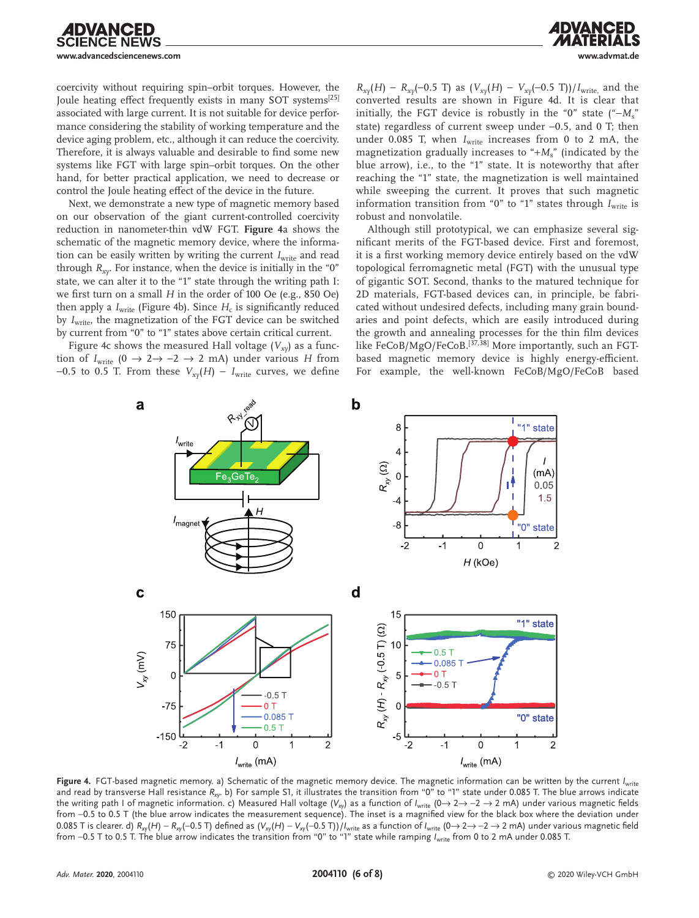**DVANCED** 

coercivity without requiring spin–orbit torques. However, the Joule heating effect frequently exists in many SOT systems<sup>[25]</sup> associated with large current. It is not suitable for device performance considering the stability of working temperature and the device aging problem, etc., although it can reduce the coercivity. Therefore, it is always valuable and desirable to find some new systems like FGT with large spin–orbit torques. On the other hand, for better practical application, we need to decrease or control the Joule heating effect of the device in the future.

Next, we demonstrate a new type of magnetic memory based on our observation of the giant current-controlled coercivity reduction in nanometer-thin vdW FGT. **Figure 4**a shows the schematic of the magnetic memory device, where the information can be easily written by writing the current *I<sub>write</sub>* and read through  $R_{xy}$ . For instance, when the device is initially in the "0" state, we can alter it to the "1" state through the writing path I: we first turn on a small *H* in the order of 100 Oe (e.g., 850 Oe) then apply a  $I_{\text{write}}$  (Figure 4b). Since  $H_c$  is significantly reduced by *I<sub>write</sub>*, the magnetization of the FGT device can be switched by current from "0" to "1" states above certain critical current.

Figure 4c shows the measured Hall voltage  $(V_{xy})$  as a function of  $I_{\text{write}}$  (0  $\rightarrow$  2  $\rightarrow$  -2  $\rightarrow$  2 mA) under various *H* from −0.5 to 0.5 T. From these  $V_{xy}(H) - I_{\text{write}}$  curves, we define

 $R_{xy}(H) - R_{xy}(-0.5 \text{ T})$  as  $(V_{xy}(H) - V_{xy}(-0.5 \text{ T}))/I_{\text{write}}$ , and the converted results are shown in Figure 4d. It is clear that initially, the FGT device is robustly in the "0" state  $("-Ms")$ state) regardless of current sweep under −0.5, and 0 T; then under 0.085 T, when  $I_{\text{write}}$  increases from 0 to 2 mA, the magnetization gradually increases to "+*M*s" (indicated by the blue arrow), i.e., to the "1" state. It is noteworthy that after reaching the "1" state, the magnetization is well maintained while sweeping the current. It proves that such magnetic information transition from "0" to "1" states through  $I_{\text{write}}$  is robust and nonvolatile.

Although still prototypical, we can emphasize several significant merits of the FGT-based device. First and foremost, it is a first working memory device entirely based on the vdW topological ferromagnetic metal (FGT) with the unusual type of gigantic SOT. Second, thanks to the matured technique for 2D materials, FGT-based devices can, in principle, be fabricated without undesired defects, including many grain boundaries and point defects, which are easily introduced during the growth and annealing processes for the thin film devices like FeCoB/MgO/FeCoB.<sup>[37,38]</sup> More importantly, such an FGTbased magnetic memory device is highly energy-efficient. For example, the well-known FeCoB/MgO/FeCoB based



**Figure 4.** FGT-based magnetic memory. a) Schematic of the magnetic memory device. The magnetic information can be written by the current *I*write and read by transverse Hall resistance *Rxy*. b) For sample S1, it illustrates the transition from "0" to "1" state under 0.085 T. The blue arrows indicate the writing path I of magnetic information. c) Measured Hall voltage (V<sub>xy</sub>) as a function of *I<sub>write</sub>* (0→ 2→ −2 → 2 mA) under various magnetic fields from −0.5 to 0.5 T (the blue arrow indicates the measurement sequence). The inset is a magnified view for the black box where the deviation under 0.085 T is clearer. d) *Rxy*(*H*) − *Rxy*(−0.5 T) defined as (*Vxy*(*H*) − *Vxy*(−0.5 T))/*I*write as a function of *I*write (0→ 2→ −2 → 2 mA) under various magnetic field from −0.5 T to 0.5 T. The blue arrow indicates the transition from "0" to "1" state while ramping *I*write from 0 to 2 mA under 0.085 T.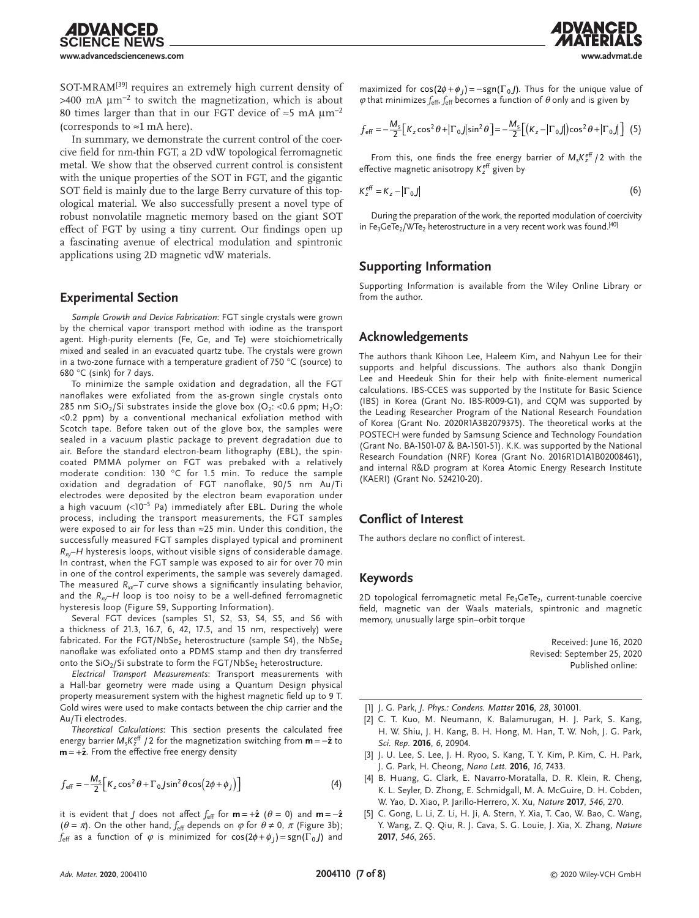IDVANCED

SOT-MRAM<sup>[39]</sup> requires an extremely high current density of >400 mA  $\mu$ m<sup>-2</sup> to switch the magnetization, which is about 80 times larger than that in our FGT device of  $\approx$ 5 mA  $\mu$ m<sup>-2</sup> (corresponds to  $\approx$ 1 mA here).

In summary, we demonstrate the current control of the coercive field for nm-thin FGT, a 2D vdW topological ferromagnetic metal. We show that the observed current control is consistent with the unique properties of the SOT in FGT, and the gigantic SOT field is mainly due to the large Berry curvature of this topological material. We also successfully present a novel type of robust nonvolatile magnetic memory based on the giant SOT effect of FGT by using a tiny current. Our findings open up a fascinating avenue of electrical modulation and spintronic applications using 2D magnetic vdW materials.

### **Experimental Section**

*Sample Growth and Device Fabrication*: FGT single crystals were grown by the chemical vapor transport method with iodine as the transport agent. High-purity elements (Fe, Ge, and Te) were stoichiometrically mixed and sealed in an evacuated quartz tube. The crystals were grown in a two-zone furnace with a temperature gradient of 750  $\degree$ C (source) to 680 °C (sink) for 7 days.

To minimize the sample oxidation and degradation, all the FGT nanoflakes were exfoliated from the as-grown single crystals onto 285 nm SiO<sub>2</sub>/Si substrates inside the glove box (O<sub>2</sub>: <0.6 ppm; H<sub>2</sub>O: <0.2 ppm) by a conventional mechanical exfoliation method with Scotch tape. Before taken out of the glove box, the samples were sealed in a vacuum plastic package to prevent degradation due to air. Before the standard electron-beam lithography (EBL), the spincoated PMMA polymer on FGT was prebaked with a relatively moderate condition: 130 °C for 1.5 min. To reduce the sample oxidation and degradation of FGT nanoflake, 90/5 nm Au/Ti electrodes were deposited by the electron beam evaporation under a high vacuum  $(<10^{-5}$  Pa) immediately after EBL. During the whole process, including the transport measurements, the FGT samples were exposed to air for less than ≈25 min. Under this condition, the successfully measured FGT samples displayed typical and prominent *Rxy*–*H* hysteresis loops, without visible signs of considerable damage. In contrast, when the FGT sample was exposed to air for over 70 min in one of the control experiments, the sample was severely damaged. The measured  $R_{xx}-T$  curve shows a significantly insulating behavior, and the  $R_{xy}$ –*H* loop is too noisy to be a well-defined ferromagnetic hysteresis loop (Figure S9, Supporting Information).

Several FGT devices (samples S1, S2, S3, S4, S5, and S6 with a thickness of 21.3, 16.7, 6, 42, 17.5, and 15 nm, respectively) were fabricated. For the FGT/NbSe<sub>2</sub> heterostructure (sample S4), the NbSe<sub>2</sub> nanoflake was exfoliated onto a PDMS stamp and then dry transferred onto the  $SiO<sub>2</sub>/Si$  substrate to form the  $FGT/NbSe<sub>2</sub>$  heterostructure.

*Electrical Transport Measurements*: Transport measurements with a Hall-bar geometry were made using a Quantum Design physical property measurement system with the highest magnetic field up to 9 T. Gold wires were used to make contacts between the chip carrier and the Au/Ti electrodes.

*Theoretical Calculations*: This section presents the calculated free energy barrier M<sub>s</sub>K<sup>eff</sup> / 2 for the magnetization switching from **m** = −2̂ to  $m = +2$ . From the effective free energy density

$$
f_{\text{eff}} = -\frac{M_s}{2} \Big[ K_z \cos^2 \theta + \Gamma_0 j \sin^2 \theta \cos \left( 2\phi + \phi_j \right) \Big] \tag{4}
$$

it is evident that *J* does not affect  $f_{\text{eff}}$  for  $\mathbf{m} = +\hat{\mathbf{z}}$  ( $\theta = 0$ ) and  $\mathbf{m} = -\hat{\mathbf{z}}$  $(\theta = \pi)$ . On the other hand,  $f_{\text{eff}}$  depends on  $\varphi$  for  $\theta \neq 0$ ,  $\pi$  (Figure 3b); *f*<sub>eff</sub> as a function of  $\varphi$  is minimized for  $cos(2\varphi + \varphi_1) = sgn(\Gamma_0 J)$  and maximized for  $cos(2\phi + \phi_1) = -sgn(\Gamma_0 J)$ . Thus for the unique value of *ϕ* that minimizes *f*eff, *f*eff becomes a function of *θ* only and is given by

$$
f_{\text{eff}} = -\frac{M_s}{2} \Big[ K_z \cos^2 \theta + \left| \Gamma_0 \right| \sin^2 \theta \Big] = -\frac{M_s}{2} \Big[ \left( K_z - \left| \Gamma_0 \right| \right) \cos^2 \theta + \left| \Gamma_0 \right| \Big] \tag{5}
$$

From this, one finds the free energy barrier of  $M_s K^{\text{eff}}_z / 2$  with the effective magnetic anisotropy K<sup>eff</sup> given by

$$
K_z^{\text{eff}} = K_z - |\Gamma_0| \tag{6}
$$

During the preparation of the work, the reported modulation of coercivity in Fe<sub>3</sub>GeTe<sub>2</sub>/WTe<sub>2</sub> heterostructure in a very recent work was found.<sup>[40]</sup>

# **Supporting Information**

Supporting Information is available from the Wiley Online Library or from the author.

# **Acknowledgements**

The authors thank Kihoon Lee, Haleem Kim, and Nahyun Lee for their supports and helpful discussions. The authors also thank Dongjin Lee and Heedeuk Shin for their help with finite-element numerical calculations. IBS-CCES was supported by the Institute for Basic Science (IBS) in Korea (Grant No. IBS-R009-G1), and CQM was supported by the Leading Researcher Program of the National Research Foundation of Korea (Grant No. 2020R1A3B2079375). The theoretical works at the POSTECH were funded by Samsung Science and Technology Foundation (Grant No. BA-1501-07 & BA-1501-51). K.K. was supported by the National Research Foundation (NRF) Korea (Grant No. 2016R1D1A1B02008461), and internal R&D program at Korea Atomic Energy Research Institute (KAERI) (Grant No. 524210-20).

## **Conflict of Interest**

The authors declare no conflict of interest.

#### **Keywords**

2D topological ferromagnetic metal  $Fe<sub>3</sub>GeTe<sub>2</sub>$ , current-tunable coercive field, magnetic van der Waals materials, spintronic and magnetic memory, unusually large spin–orbit torque

> Received: June 16, 2020 Revised: September 25, 2020 Published online:

- [1] J. G. Park, *J. Phys.: Condens. Matter* **2016**, *28*, 301001.
- [2] C. T. Kuo, M. Neumann, K. Balamurugan, H. J. Park, S. Kang, H. W. Shiu, J. H. Kang, B. H. Hong, M. Han, T. W. Noh, J. G. Park, *Sci. Rep.* **2016**, *6*, 20904.
- [3] J. U. Lee, S. Lee, J. H. Ryoo, S. Kang, T. Y. Kim, P. Kim, C. H. Park, J. G. Park, H. Cheong, *Nano Lett.* **2016**, *16*, 7433.
- [4] B. Huang, G. Clark, E. Navarro-Moratalla, D. R. Klein, R. Cheng, K. L. Seyler, D. Zhong, E. Schmidgall, M. A. McGuire, D. H. Cobden, W. Yao, D. Xiao, P. Jarillo-Herrero, X. Xu, *Nature* **2017**, *546*, 270.
- [5] C. Gong, L. Li, Z. Li, H. Ji, A. Stern, Y. Xia, T. Cao, W. Bao, C. Wang, Y. Wang, Z. Q. Qiu, R. J. Cava, S. G. Louie, J. Xia, X. Zhang, *Nature* **2017**, *546*, 265.